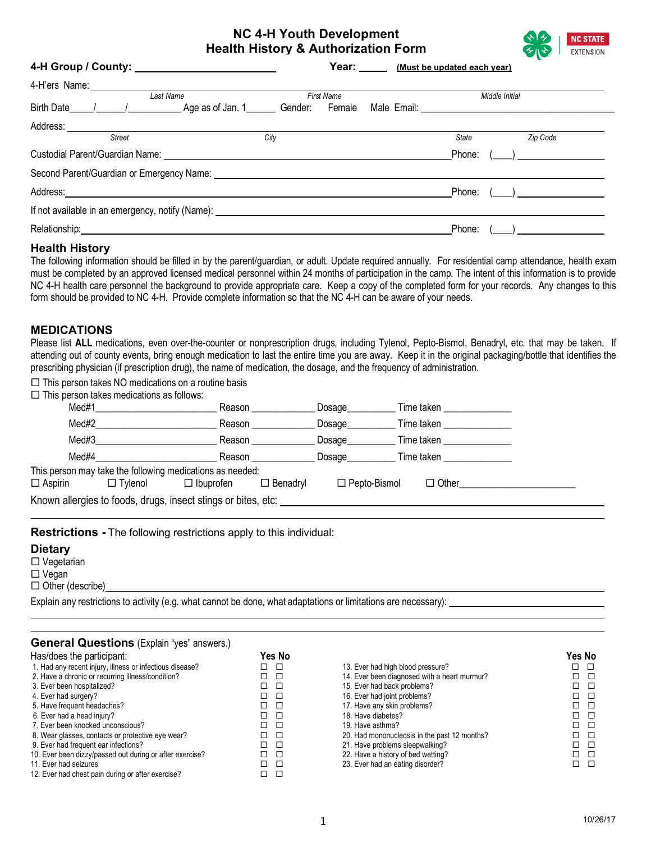## **NC 4-H Youth Development Health History & Authorization Form**



| 4-H Group / County: ___________________________                                                                                                                                                                                |      |                   | Year: <i>(Must be updated each year)</i> |                |                                              |
|--------------------------------------------------------------------------------------------------------------------------------------------------------------------------------------------------------------------------------|------|-------------------|------------------------------------------|----------------|----------------------------------------------|
|                                                                                                                                                                                                                                |      |                   |                                          |                |                                              |
| Last Name                                                                                                                                                                                                                      |      | <b>First Name</b> |                                          | Middle Initial |                                              |
|                                                                                                                                                                                                                                |      |                   |                                          |                |                                              |
|                                                                                                                                                                                                                                |      |                   |                                          |                |                                              |
| <b>Street</b>                                                                                                                                                                                                                  | City |                   |                                          | State          | Zip Code                                     |
| Custodial Parent/Guardian Name: University of the Custodial Parent/Guardian Name:                                                                                                                                              |      |                   |                                          | Phone:         |                                              |
| Second Parent/Guardian or Emergency Name: University of the Contract of the Contract of the Contract of the Contract of the Contract of the Contract of the Contract of the Contract of the Contract of the Contract of the Co |      |                   |                                          |                |                                              |
| Address: the contract of the contract of the contract of the contract of the contract of the contract of the contract of the contract of the contract of the contract of the contract of the contract of the contract of the c |      |                   |                                          | Phone:         | $\left(\begin{array}{cc} \end{array}\right)$ |
| If not available in an emergency, notify (Name): _______________________________                                                                                                                                               |      |                   |                                          |                |                                              |
|                                                                                                                                                                                                                                |      |                   |                                          | Phone:         |                                              |

## **Health History**

The following information should be filled in by the parent/guardian, or adult. Update required annually. For residential camp attendance, health exam must be completed by an approved licensed medical personnel within 24 months of participation in the camp. The intent of this information is to provide NC 4-H health care personnel the background to provide appropriate care. Keep a copy of the completed form for your records. Any changes to this form should be provided to NC 4-H. Provide complete information so that the NC 4-H can be aware of your needs.

## **MEDICATIONS**

Please list ALL medications, even over-the-counter or nonprescription drugs, including Tylenol, Pepto-Bismol, Benadryl, etc. that may be taken. If attending out of county events, bring enough medication to last the entire time you are away. Keep it in the original packaging/bottle that identifies the prescribing physician (if prescription drug), the name of medication, the dosage, and the frequency of administration.

 $\square$  This person takes NO medications on a routine basis

 $\square$  This person takes medications as follows:

| Med#1          |                | Reason                                                        |                 | Dosage              | Time taken   |  |
|----------------|----------------|---------------------------------------------------------------|-----------------|---------------------|--------------|--|
| Med#2          |                | Reason                                                        |                 | Dosage              | Time taken   |  |
| Med#3          |                | Reason                                                        |                 | Dosage              | Time taken   |  |
| Med#4          |                | Reason                                                        |                 | Dosage              | Time taken   |  |
|                |                | This person may take the following medications as needed:     |                 |                     |              |  |
| $\Box$ Aspirin | $\Box$ Tvlenol | $\Box$ Ibuprofen                                              | $\Box$ Benadryl | $\Box$ Pepto-Bismol | $\Box$ Other |  |
|                |                | Known allergies to foods, drugs, insect stings or bites, etc: |                 |                     |              |  |

**Restrictions -** The following restrictions apply to this individual:

#### **Dietary**

 $\square$  Vegetarian

□ Vegan

 $\Box$  Other (describe)

Explain any restrictions to activity (e.g. what cannot be done, what adaptations or limitations are necessary):

#### **General Questions** (Explain "yes" answers.)

l

| Has/does the participant:                                | Yes No                          |                                              | Yes No |
|----------------------------------------------------------|---------------------------------|----------------------------------------------|--------|
| 1. Had any recent injury, illness or infectious disease? | $\Box$<br>and the second state. | 13. Ever had high blood pressure?            | 0 O    |
| 2. Have a chronic or recurring illness/condition?        | □                               | 14. Ever been diagnosed with a heart murmur? | □      |
| 3. Ever been hospitalized?                               | $\Box$ $\Box$                   | 15. Ever had back problems?                  | □ □    |
| 4. Ever had surgery?                                     | $\Box$ $\Box$                   | 16. Ever had joint problems?                 | □ □    |
| 5. Have frequent headaches?                              | n<br>T.                         | 17. Have any skin problems?                  | □□□    |
| 6. Ever had a head injury?                               | 8 D                             | 18. Have diabetes?                           | □□□    |
| 7. Ever been knocked unconscious?                        | п<br>T.                         | 19. Have asthma?                             | □□□    |
| 8. Wear glasses, contacts or protective eye wear?        | Л<br>TI.                        | 20. Had mononucleosis in the past 12 months? | $\Box$ |
| 9. Ever had frequent ear infections?                     | Л<br>T.                         | 21. Have problems sleepwalking?              | □ □    |
| 10. Ever been dizzy/passed out during or after exercise? | $\Box$ $\Box$                   | 22. Have a history of bed wetting?           | □ □    |
| 11. Ever had seizures                                    | п п                             | 23. Ever had an eating disorder?             | □ □    |
| 12. Ever had chest pain during or after exercise?        | □                               |                                              |        |

|                                              | I 69 IVA |  |
|----------------------------------------------|----------|--|
| 13. Ever had high blood pressure?            |          |  |
| 14. Ever been diagnosed with a heart murmur? |          |  |
| 15. Ever had back problems?                  |          |  |
| 16. Ever had joint problems?                 |          |  |
| 17. Have any skin problems?                  |          |  |
| 18. Have diabetes?                           |          |  |
| 19. Have asthma?                             |          |  |
| 20. Had mononucleosis in the past 12 months? |          |  |
| 21. Have problems sleepwalking?              |          |  |
| 22. Have a history of bed wetting?           |          |  |
| 23. Ever had an eating disorder?             |          |  |
|                                              |          |  |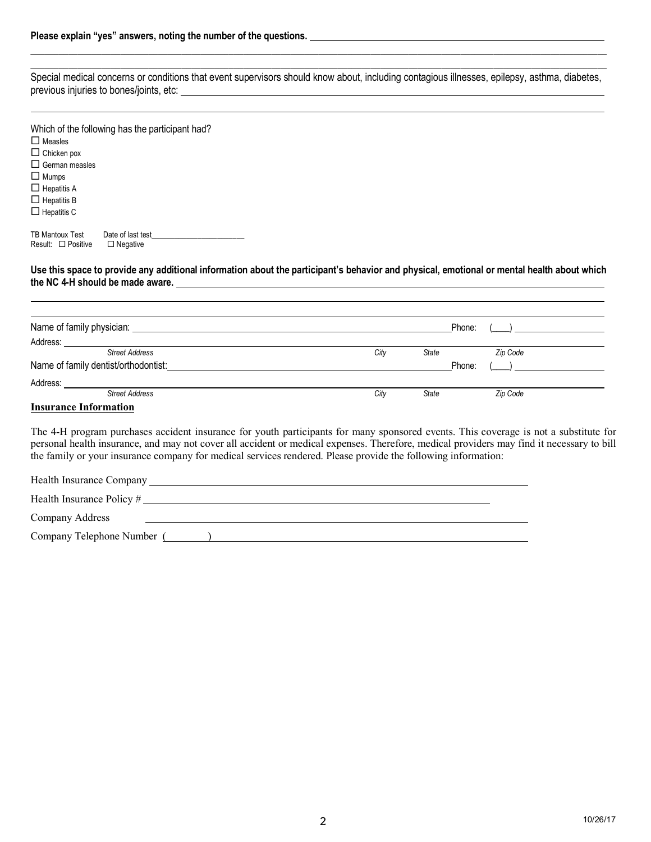$\mathcal{L}=\{z\in\mathcal{L}^{\mathcal{L}}:z\in\mathcal{L}^{\mathcal{L}}:z\in\mathcal{L}^{\mathcal{L}}:z\in\mathcal{L}^{\mathcal{L}}:z\in\mathcal{L}^{\mathcal{L}}:z\in\mathcal{L}^{\mathcal{L}}:z\in\mathcal{L}^{\mathcal{L}}:z\in\mathcal{L}^{\mathcal{L}}:z\in\mathcal{L}^{\mathcal{L}}:z\in\mathcal{L}^{\mathcal{L}}:z\in\mathcal{L}^{\mathcal{L}}:z\in\mathcal{L}^{\mathcal{L}}:z\in\mathcal{L$ Special medical concerns or conditions that event supervisors should know about, including contagious illnesses, epilepsy, asthma, diabetes, previous injuries to bones/joints, etc: example and the state of the state of the state of the state of the state of the state of the state of the state of the state of the state of the state of the state of the state of t

\_\_\_\_\_\_\_\_\_\_\_\_\_\_\_\_\_\_\_\_\_\_\_\_\_\_\_\_\_\_\_\_\_\_\_\_\_\_\_\_\_\_\_\_\_\_\_\_\_\_\_\_\_\_\_\_\_\_\_\_\_\_\_\_\_\_\_\_\_\_\_\_\_\_\_\_\_\_\_\_\_\_\_\_\_\_\_\_\_\_\_\_\_\_\_\_\_\_\_\_\_\_\_\_\_\_\_\_\_\_\_\_\_\_\_\_\_\_\_\_\_\_

| Which of the following has the participant had?<br>$\Box$ Measles<br>$\Box$ Chicken pox<br>$\Box$ German measles<br>$\Box$ Mumps<br>$\Box$ Hepatitis A<br>$\Box$ Hepatitis B<br>$\Box$ Hepatitis C |                                      |  |
|----------------------------------------------------------------------------------------------------------------------------------------------------------------------------------------------------|--------------------------------------|--|
| TB Mantoux Test<br>Result: $\Box$ Positive                                                                                                                                                         | Date of last test<br>$\Box$ Negative |  |

**the NC 4-H should be made aware.**

**Use this space to provide any additional information about the participant's behavior and physical, emotional or mental health about which** 

| Name of family physician: <u>contained a series of the series of</u> | Phone:                    |
|----------------------------------------------------------------------|---------------------------|
| Address:                                                             |                           |
| <b>Street Address</b>                                                | Zip Code<br>City<br>State |
| Name of family dentist/orthodontist:                                 | Phone:                    |
| Address:                                                             |                           |
| <b>Street Address</b>                                                | City<br>Zip Code<br>State |
|                                                                      |                           |

#### **Insurance Information**

The 4-H program purchases accident insurance for youth participants for many sponsored events. This coverage is not a substitute for personal health insurance, and may not cover all accident or medical expenses. Therefore, medical providers may find it necessary to bill the family or your insurance company for medical services rendered. Please provide the following information:

| Health Insurance Company                |  |
|-----------------------------------------|--|
| Health Insurance Policy #               |  |
| Company Address                         |  |
| Company Telephone Number (Section 2014) |  |
|                                         |  |